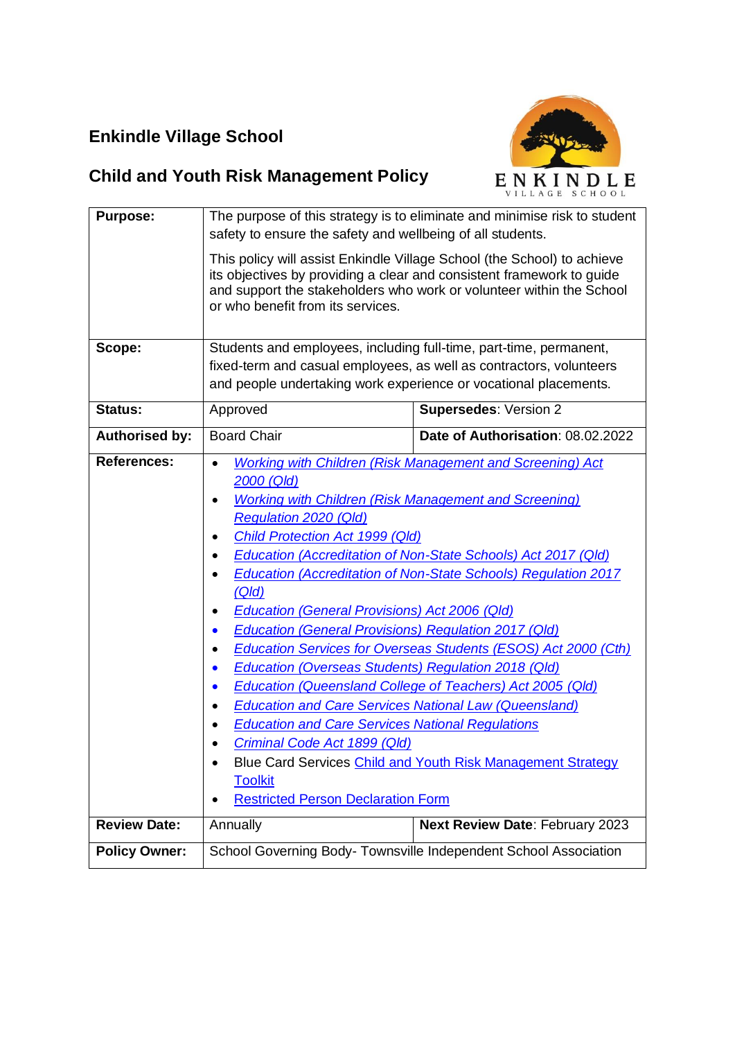## **Enkindle Village School**



# **Child and Youth Risk Management Policy**

| <b>Purpose:</b>       | The purpose of this strategy is to eliminate and minimise risk to student<br>safety to ensure the safety and wellbeing of all students.                                                                                                                                                                                                                                                                                                                                                                                                                                                                      |                                                                                                                                                                                                                                                                                                                                                                                                                 |  |
|-----------------------|--------------------------------------------------------------------------------------------------------------------------------------------------------------------------------------------------------------------------------------------------------------------------------------------------------------------------------------------------------------------------------------------------------------------------------------------------------------------------------------------------------------------------------------------------------------------------------------------------------------|-----------------------------------------------------------------------------------------------------------------------------------------------------------------------------------------------------------------------------------------------------------------------------------------------------------------------------------------------------------------------------------------------------------------|--|
|                       | This policy will assist Enkindle Village School (the School) to achieve<br>its objectives by providing a clear and consistent framework to guide<br>and support the stakeholders who work or volunteer within the School<br>or who benefit from its services.                                                                                                                                                                                                                                                                                                                                                |                                                                                                                                                                                                                                                                                                                                                                                                                 |  |
| Scope:                | Students and employees, including full-time, part-time, permanent,                                                                                                                                                                                                                                                                                                                                                                                                                                                                                                                                           |                                                                                                                                                                                                                                                                                                                                                                                                                 |  |
|                       |                                                                                                                                                                                                                                                                                                                                                                                                                                                                                                                                                                                                              | fixed-term and casual employees, as well as contractors, volunteers                                                                                                                                                                                                                                                                                                                                             |  |
|                       | and people undertaking work experience or vocational placements.                                                                                                                                                                                                                                                                                                                                                                                                                                                                                                                                             |                                                                                                                                                                                                                                                                                                                                                                                                                 |  |
| <b>Status:</b>        | Approved                                                                                                                                                                                                                                                                                                                                                                                                                                                                                                                                                                                                     | <b>Supersedes: Version 2</b>                                                                                                                                                                                                                                                                                                                                                                                    |  |
| <b>Authorised by:</b> | <b>Board Chair</b>                                                                                                                                                                                                                                                                                                                                                                                                                                                                                                                                                                                           | Date of Authorisation: 08.02.2022                                                                                                                                                                                                                                                                                                                                                                               |  |
| <b>References:</b>    | $\bullet$<br>2000 (Qld)<br><b>Working with Children (Risk Management and Screening)</b><br><b>Regulation 2020 (Qld)</b><br><b>Child Protection Act 1999 (Qld)</b><br>(Q/d)<br>Education (General Provisions) Act 2006 (Qld)<br><b>Education (General Provisions) Regulation 2017 (Qld)</b><br>$\bullet$<br><b>Education (Overseas Students) Regulation 2018 (Qld)</b><br>$\bullet$<br><b>Education and Care Services National Law (Queensland)</b><br><b>Education and Care Services National Regulations</b><br>Criminal Code Act 1899 (Qld)<br><b>Toolkit</b><br><b>Restricted Person Declaration Form</b> | Working with Children (Risk Management and Screening) Act<br><b>Education (Accreditation of Non-State Schools) Act 2017 (Qld)</b><br><b>Education (Accreditation of Non-State Schools) Regulation 2017</b><br>Education Services for Overseas Students (ESOS) Act 2000 (Cth)<br><b>Education (Queensland College of Teachers) Act 2005 (Qld)</b><br>Blue Card Services Child and Youth Risk Management Strategy |  |
| <b>Review Date:</b>   | Annually                                                                                                                                                                                                                                                                                                                                                                                                                                                                                                                                                                                                     | Next Review Date: February 2023                                                                                                                                                                                                                                                                                                                                                                                 |  |
| <b>Policy Owner:</b>  |                                                                                                                                                                                                                                                                                                                                                                                                                                                                                                                                                                                                              | School Governing Body- Townsville Independent School Association                                                                                                                                                                                                                                                                                                                                                |  |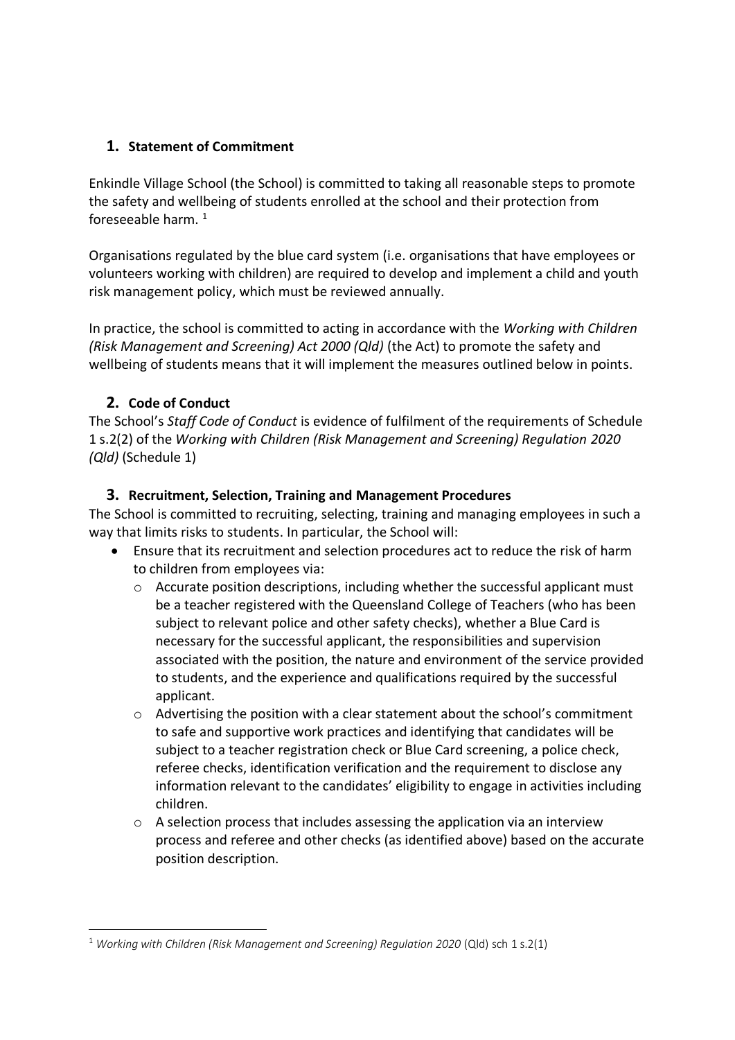## **1. Statement of Commitment**

Enkindle Village School (the School) is committed to taking all reasonable steps to promote the safety and wellbeing of students enrolled at the school and their protection from foreseeable harm.  $1$ 

Organisations regulated by the blue card system (i.e. organisations that have employees or volunteers working with children) are required to develop and implement a child and youth risk management policy, which must be reviewed annually.

In practice, the school is committed to acting in accordance with the *Working with Children (Risk Management and Screening) Act 2000 (Qld)* (the Act) to promote the safety and wellbeing of students means that it will implement the measures outlined below in points.

## **2. Code of Conduct**

The School's *Staff Code of Conduct* is evidence of fulfilment of the requirements of Schedule 1 s.2(2) of the *Working with Children (Risk Management and Screening) Regulation 2020 (Qld)* (Schedule 1)

#### **3. Recruitment, Selection, Training and Management Procedures**

The School is committed to recruiting, selecting, training and managing employees in such a way that limits risks to students. In particular, the School will:

- Ensure that its recruitment and selection procedures act to reduce the risk of harm to children from employees via:
	- o Accurate position descriptions, including whether the successful applicant must be a teacher registered with the Queensland College of Teachers (who has been subject to relevant police and other safety checks), whether a Blue Card is necessary for the successful applicant, the responsibilities and supervision associated with the position, the nature and environment of the service provided to students, and the experience and qualifications required by the successful applicant.
	- $\circ$  Advertising the position with a clear statement about the school's commitment to safe and supportive work practices and identifying that candidates will be subject to a teacher registration check or Blue Card screening, a police check, referee checks, identification verification and the requirement to disclose any information relevant to the candidates' eligibility to engage in activities including children.
	- $\circ$  A selection process that includes assessing the application via an interview process and referee and other checks (as identified above) based on the accurate position description.

<sup>&</sup>lt;sup>1</sup> Working with Children (Risk Management and Screening) Regulation 2020 (Qld) sch 1 s.2(1)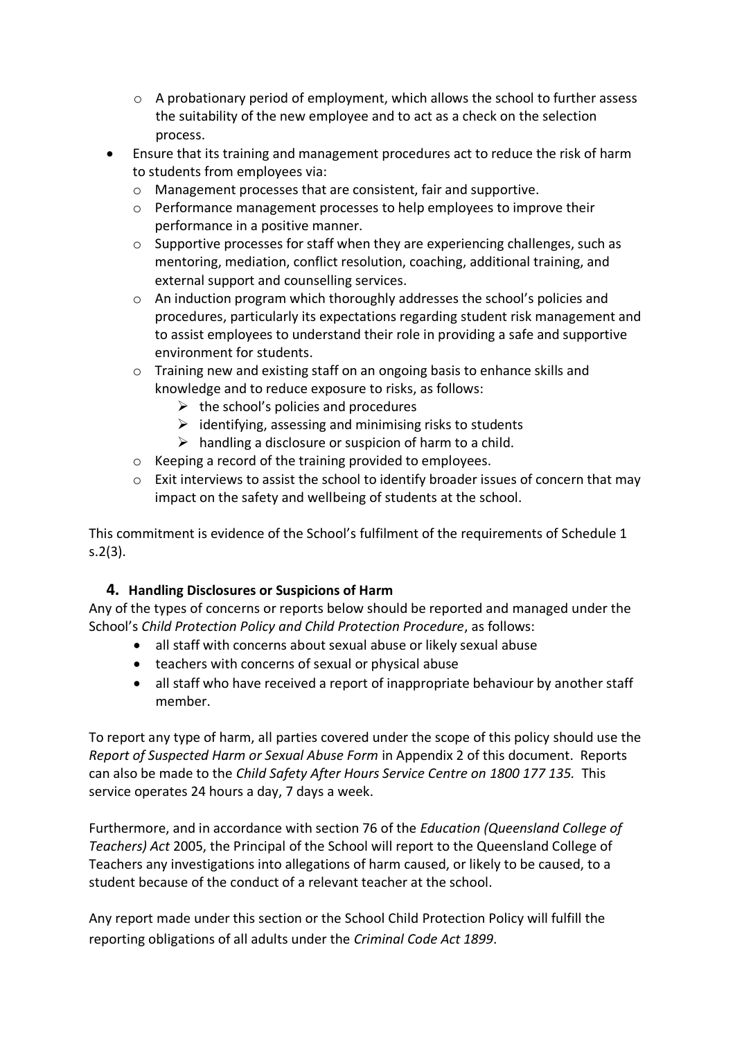- $\circ$  A probationary period of employment, which allows the school to further assess the suitability of the new employee and to act as a check on the selection process.
- Ensure that its training and management procedures act to reduce the risk of harm to students from employees via:
	- o Management processes that are consistent, fair and supportive.
	- o Performance management processes to help employees to improve their performance in a positive manner.
	- o Supportive processes for staff when they are experiencing challenges, such as mentoring, mediation, conflict resolution, coaching, additional training, and external support and counselling services.
	- o An induction program which thoroughly addresses the school's policies and procedures, particularly its expectations regarding student risk management and to assist employees to understand their role in providing a safe and supportive environment for students.
	- o Training new and existing staff on an ongoing basis to enhance skills and knowledge and to reduce exposure to risks, as follows:
		- $\triangleright$  the school's policies and procedures
		- $\triangleright$  identifying, assessing and minimising risks to students
		- $\triangleright$  handling a disclosure or suspicion of harm to a child.
	- o Keeping a record of the training provided to employees.
	- o Exit interviews to assist the school to identify broader issues of concern that may impact on the safety and wellbeing of students at the school.

This commitment is evidence of the School's fulfilment of the requirements of Schedule 1 s.2(3).

#### **4. Handling Disclosures or Suspicions of Harm**

Any of the types of concerns or reports below should be reported and managed under the School's *Child Protection Policy and Child Protection Procedure*, as follows:

- all staff with concerns about sexual abuse or likely sexual abuse
- teachers with concerns of sexual or physical abuse
- all staff who have received a report of inappropriate behaviour by another staff member.

To report any type of harm, all parties covered under the scope of this policy should use the *Report of Suspected Harm or Sexual Abuse Form* in Appendix 2 of this document. Reports can also be made to the *Child Safety After Hours Service Centre on 1800 177 135.* This service operates 24 hours a day, 7 days a week.

Furthermore, and in accordance with section 76 of the *Education (Queensland College of Teachers) Act* 2005, the Principal of the School will report to the Queensland College of Teachers any investigations into allegations of harm caused, or likely to be caused, to a student because of the conduct of a relevant teacher at the school.

Any report made under this section or the School Child Protection Policy will fulfill the reporting obligations of all adults under the *Criminal Code Act 1899*.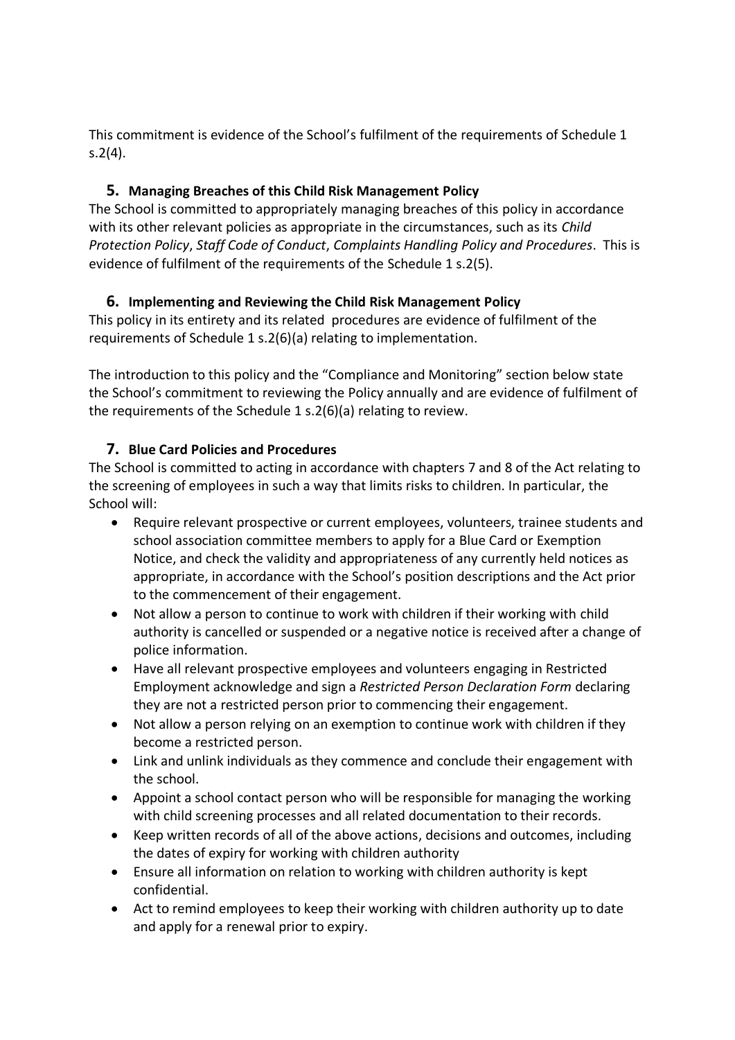This commitment is evidence of the School's fulfilment of the requirements of Schedule 1 s.2(4).

## **5. Managing Breaches of this Child Risk Management Policy**

The School is committed to appropriately managing breaches of this policy in accordance with its other relevant policies as appropriate in the circumstances, such as its *Child Protection Policy*, *Staff Code of Conduct*, *Complaints Handling Policy and Procedures*. This is evidence of fulfilment of the requirements of the Schedule 1 s.2(5).

## **6. Implementing and Reviewing the Child Risk Management Policy**

This policy in its entirety and its related procedures are evidence of fulfilment of the requirements of Schedule 1 s.2(6)(a) relating to implementation.

The introduction to this policy and the "Compliance and Monitoring" section below state the School's commitment to reviewing the Policy annually and are evidence of fulfilment of the requirements of the Schedule 1 s.2(6)(a) relating to review.

## **7. Blue Card Policies and Procedures**

The School is committed to acting in accordance with chapters 7 and 8 of the Act relating to the screening of employees in such a way that limits risks to children. In particular, the School will:

- Require relevant prospective or current employees, volunteers, trainee students and school association committee members to apply for a Blue Card or Exemption Notice, and check the validity and appropriateness of any currently held notices as appropriate, in accordance with the School's position descriptions and the Act prior to the commencement of their engagement.
- Not allow a person to continue to work with children if their working with child authority is cancelled or suspended or a negative notice is received after a change of police information.
- Have all relevant prospective employees and volunteers engaging in Restricted Employment acknowledge and sign a *Restricted Person Declaration Form* declaring they are not a restricted person prior to commencing their engagement.
- Not allow a person relying on an exemption to continue work with children if they become a restricted person.
- Link and unlink individuals as they commence and conclude their engagement with the school.
- Appoint a school contact person who will be responsible for managing the working with child screening processes and all related documentation to their records.
- Keep written records of all of the above actions, decisions and outcomes, including the dates of expiry for working with children authority
- Ensure all information on relation to working with children authority is kept confidential.
- Act to remind employees to keep their working with children authority up to date and apply for a renewal prior to expiry.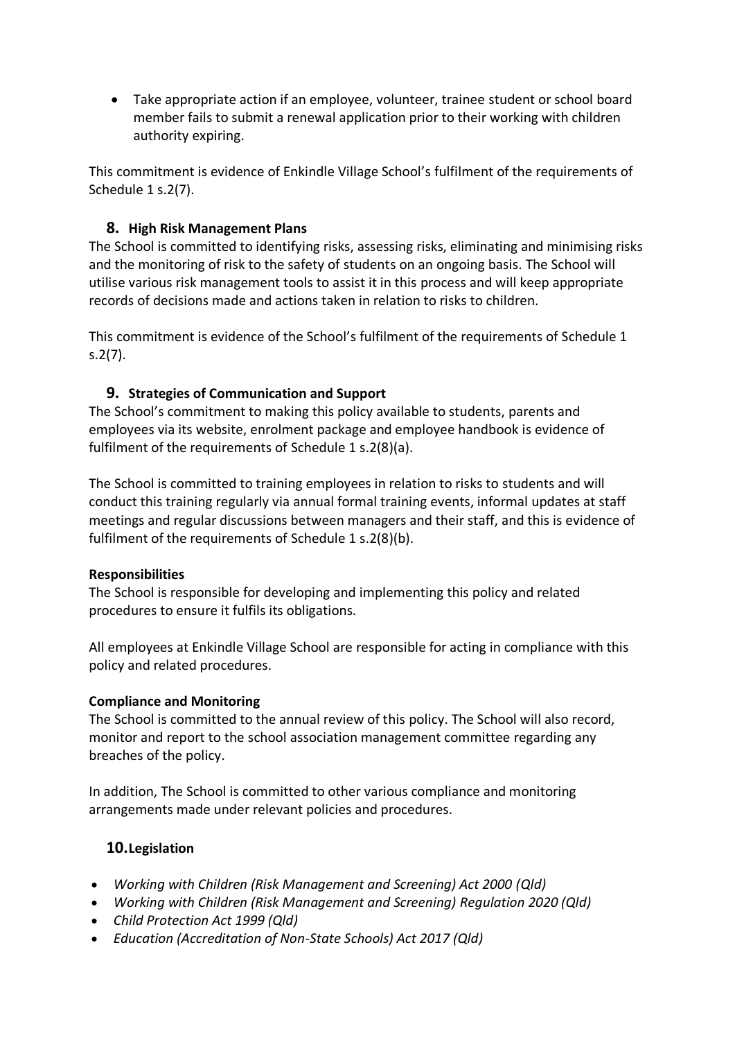• Take appropriate action if an employee, volunteer, trainee student or school board member fails to submit a renewal application prior to their working with children authority expiring.

This commitment is evidence of Enkindle Village School's fulfilment of the requirements of Schedule 1 s.2(7).

#### **8. High Risk Management Plans**

The School is committed to identifying risks, assessing risks, eliminating and minimising risks and the monitoring of risk to the safety of students on an ongoing basis. The School will utilise various risk management tools to assist it in this process and will keep appropriate records of decisions made and actions taken in relation to risks to children.

This commitment is evidence of the School's fulfilment of the requirements of Schedule 1 s.2(7).

#### **9. Strategies of Communication and Support**

The School's commitment to making this policy available to students, parents and employees via its website, enrolment package and employee handbook is evidence of fulfilment of the requirements of Schedule 1 s.2(8)(a).

The School is committed to training employees in relation to risks to students and will conduct this training regularly via annual formal training events, informal updates at staff meetings and regular discussions between managers and their staff, and this is evidence of fulfilment of the requirements of Schedule 1 s.2(8)(b).

#### **Responsibilities**

The School is responsible for developing and implementing this policy and related procedures to ensure it fulfils its obligations.

All employees at Enkindle Village School are responsible for acting in compliance with this policy and related procedures.

#### **Compliance and Monitoring**

The School is committed to the annual review of this policy. The School will also record, monitor and report to the school association management committee regarding any breaches of the policy.

In addition, The School is committed to other various compliance and monitoring arrangements made under relevant policies and procedures.

#### **10.Legislation**

- *Working with Children (Risk Management and Screening) Act 2000 (Qld)*
- *Working with Children (Risk Management and Screening) Regulation 2020 (Qld)*
- *Child Protection Act 1999 (Qld)*
- *Education (Accreditation of Non-State Schools) Act 2017 (Qld)*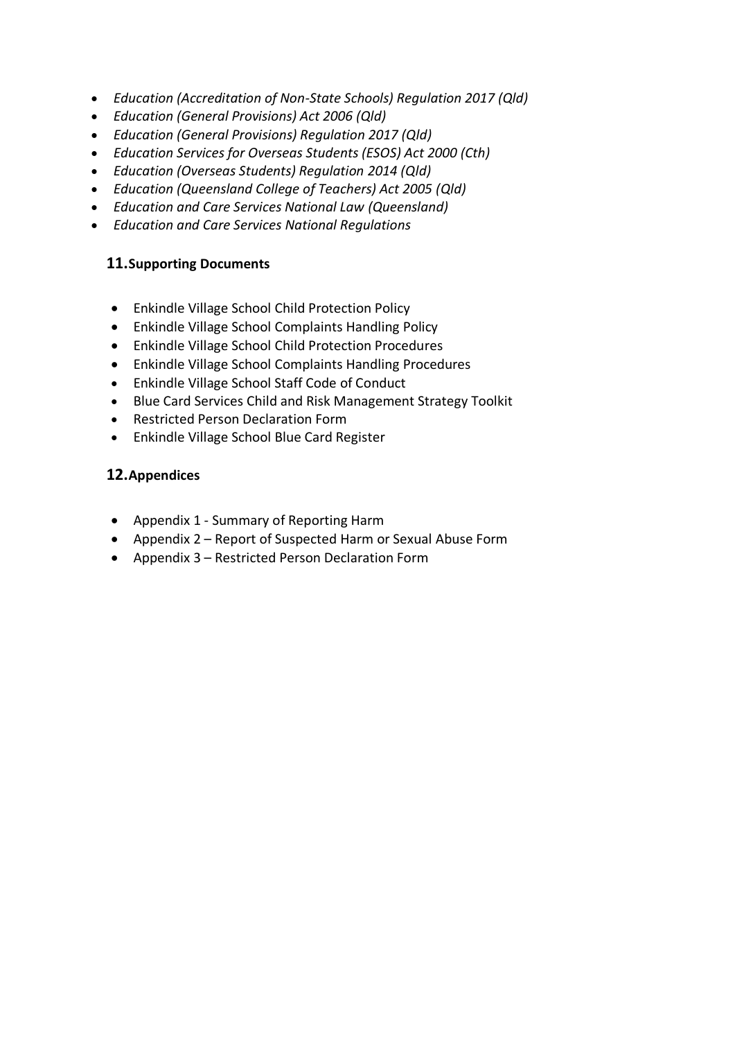- *Education (Accreditation of Non-State Schools) Regulation 2017 (Qld)*
- *Education (General Provisions) Act 2006 (Qld)*
- *Education (General Provisions) Regulation 2017 (Qld)*
- *Education Services for Overseas Students (ESOS) Act 2000 (Cth)*
- *Education (Overseas Students) Regulation 2014 (Qld)*
- *Education (Queensland College of Teachers) Act 2005 (Qld)*
- *Education and Care Services National Law (Queensland)*
- *Education and Care Services National Regulations*

#### **11.Supporting Documents**

- Enkindle Village School Child Protection Policy
- Enkindle Village School Complaints Handling Policy
- Enkindle Village School Child Protection Procedures
- Enkindle Village School Complaints Handling Procedures
- Enkindle Village School Staff Code of Conduct
- Blue Card Services Child and Risk Management Strategy Toolkit
- Restricted Person Declaration Form
- Enkindle Village School Blue Card Register

#### **12.Appendices**

- Appendix 1 Summary of Reporting Harm
- Appendix 2 Report of Suspected Harm or Sexual Abuse Form
- Appendix 3 Restricted Person Declaration Form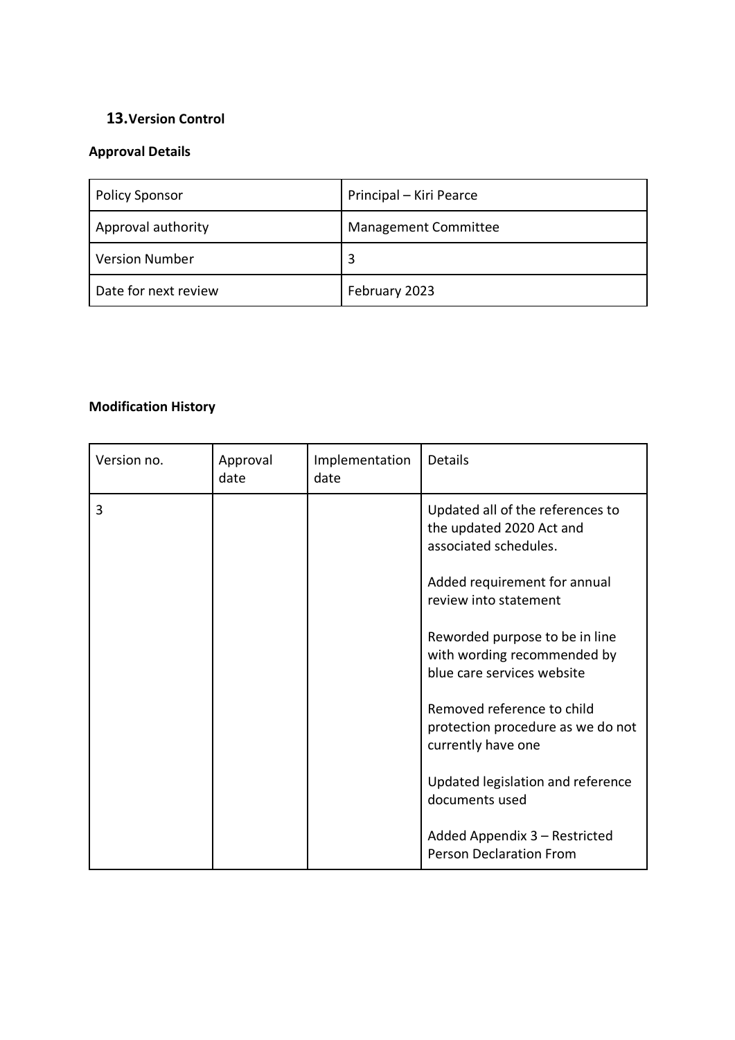## **13.Version Control**

## **Approval Details**

| <b>Policy Sponsor</b> | Principal - Kiri Pearce     |
|-----------------------|-----------------------------|
| Approval authority    | <b>Management Committee</b> |
| <b>Version Number</b> | 3                           |
| Date for next review  | February 2023               |

## **Modification History**

| Version no. | Approval<br>date | Implementation<br>date | Details                                                                                     |
|-------------|------------------|------------------------|---------------------------------------------------------------------------------------------|
| 3           |                  |                        | Updated all of the references to<br>the updated 2020 Act and<br>associated schedules.       |
|             |                  |                        | Added requirement for annual<br>review into statement                                       |
|             |                  |                        | Reworded purpose to be in line<br>with wording recommended by<br>blue care services website |
|             |                  |                        | Removed reference to child<br>protection procedure as we do not<br>currently have one       |
|             |                  |                        | Updated legislation and reference<br>documents used                                         |
|             |                  |                        | Added Appendix 3 - Restricted<br><b>Person Declaration From</b>                             |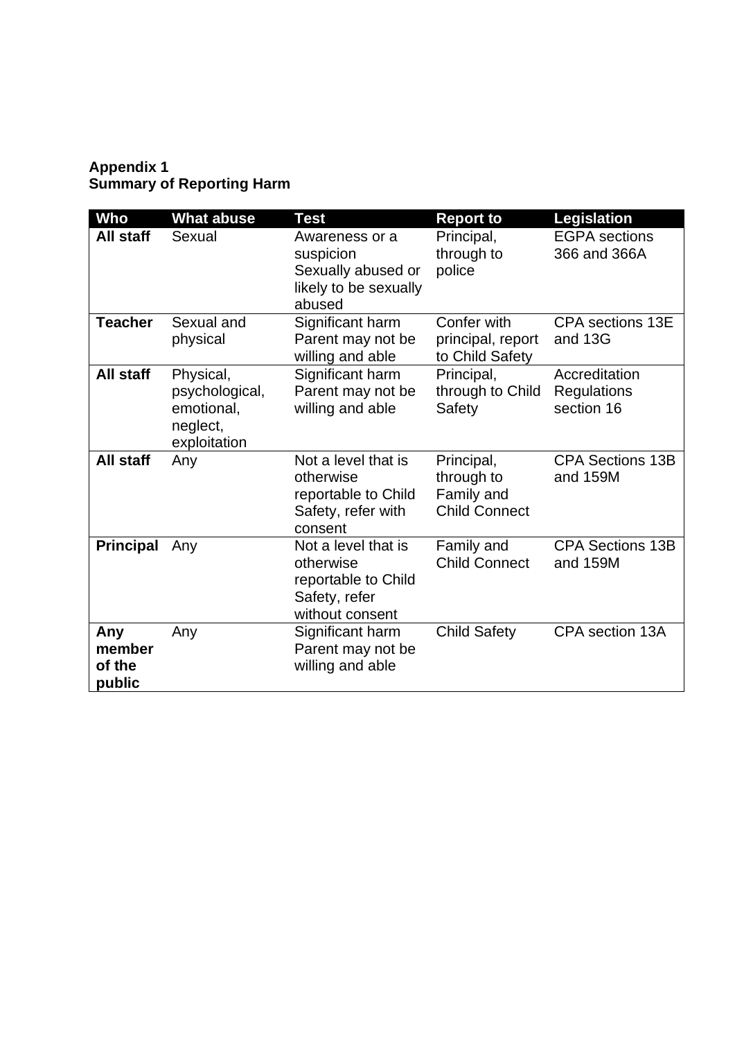## **Appendix 1 Summary of Reporting Harm**

| Who                               | What abuse                                                            | <b>Test</b>                                                                                 | <b>Report to</b>                                               | <b>Legislation</b>                                |
|-----------------------------------|-----------------------------------------------------------------------|---------------------------------------------------------------------------------------------|----------------------------------------------------------------|---------------------------------------------------|
| All staff                         | Sexual                                                                | Awareness or a<br>suspicion<br>Sexually abused or<br>likely to be sexually<br>abused        | Principal,<br>through to<br>police                             | <b>EGPA</b> sections<br>366 and 366A              |
| <b>Teacher</b>                    | Sexual and<br>physical                                                | Significant harm<br>Parent may not be<br>willing and able                                   | Confer with<br>principal, report<br>to Child Safety            | <b>CPA</b> sections 13E<br>and 13G                |
| All staff                         | Physical,<br>psychological,<br>emotional,<br>neglect,<br>exploitation | Significant harm<br>Parent may not be<br>willing and able                                   | Principal,<br>through to Child<br>Safety                       | Accreditation<br><b>Regulations</b><br>section 16 |
| All staff                         | Any                                                                   | Not a level that is<br>otherwise<br>reportable to Child<br>Safety, refer with<br>consent    | Principal,<br>through to<br>Family and<br><b>Child Connect</b> | <b>CPA Sections 13B</b><br>and 159M               |
| <b>Principal</b>                  | Any                                                                   | Not a level that is<br>otherwise<br>reportable to Child<br>Safety, refer<br>without consent | Family and<br><b>Child Connect</b>                             | <b>CPA Sections 13B</b><br>and 159M               |
| Any<br>member<br>of the<br>public | Any                                                                   | Significant harm<br>Parent may not be<br>willing and able                                   | <b>Child Safety</b>                                            | CPA section 13A                                   |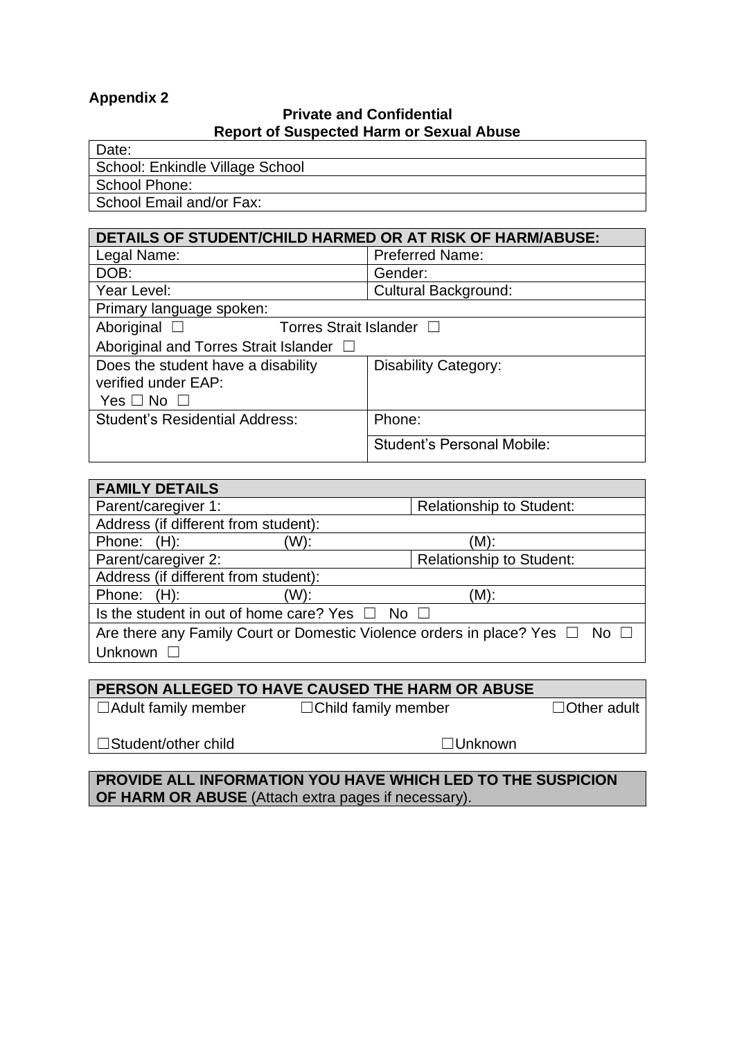## **Appendix 2**

#### **Private and Confidential Report of Suspected Harm or Sexual Abuse**

| Date:                           |
|---------------------------------|
| School: Enkindle Village School |
| School Phone:                   |
| School Email and/or Fax:        |

| <b>DETAILS OF STUDENT/CHILD HARMED OR AT RISK OF HARM/ABUSE:</b> |                                   |  |  |
|------------------------------------------------------------------|-----------------------------------|--|--|
| Legal Name:                                                      | <b>Preferred Name:</b>            |  |  |
| DOB:                                                             | Gender:                           |  |  |
| Year Level:                                                      | <b>Cultural Background:</b>       |  |  |
| Primary language spoken:                                         |                                   |  |  |
| Aboriginal $\square$<br>Torres Strait Islander □                 |                                   |  |  |
| Aboriginal and Torres Strait Islander □                          |                                   |  |  |
| Does the student have a disability                               | <b>Disability Category:</b>       |  |  |
| verified under EAP:                                              |                                   |  |  |
| Yes $\Box$ No $\Box$                                             |                                   |  |  |
| <b>Student's Residential Address:</b>                            | Phone:                            |  |  |
|                                                                  | <b>Student's Personal Mobile:</b> |  |  |

| <b>FAMILY DETAILS</b>                                                                 |     |                                 |  |
|---------------------------------------------------------------------------------------|-----|---------------------------------|--|
| Parent/caregiver 1:                                                                   |     | <b>Relationship to Student:</b> |  |
| Address (if different from student):                                                  |     |                                 |  |
| Phone: (H):                                                                           | W): | (M):                            |  |
| Parent/caregiver 2:                                                                   |     | Relationship to Student:        |  |
| Address (if different from student):                                                  |     |                                 |  |
| Phone: (H):                                                                           | W): | (M):                            |  |
| Is the student in out of home care? Yes $\Box$ No $\Box$                              |     |                                 |  |
| Are there any Family Court or Domestic Violence orders in place? Yes $\Box$ No $\Box$ |     |                                 |  |
| Unknown $\square$                                                                     |     |                                 |  |

## **PERSON ALLEGED TO HAVE CAUSED THE HARM OR ABUSE**

☐Adult family member ☐Child family member ☐Other adult

☐Student/other child ☐Unknown

**PROVIDE ALL INFORMATION YOU HAVE WHICH LED TO THE SUSPICION OF HARM OR ABUSE** (Attach extra pages if necessary).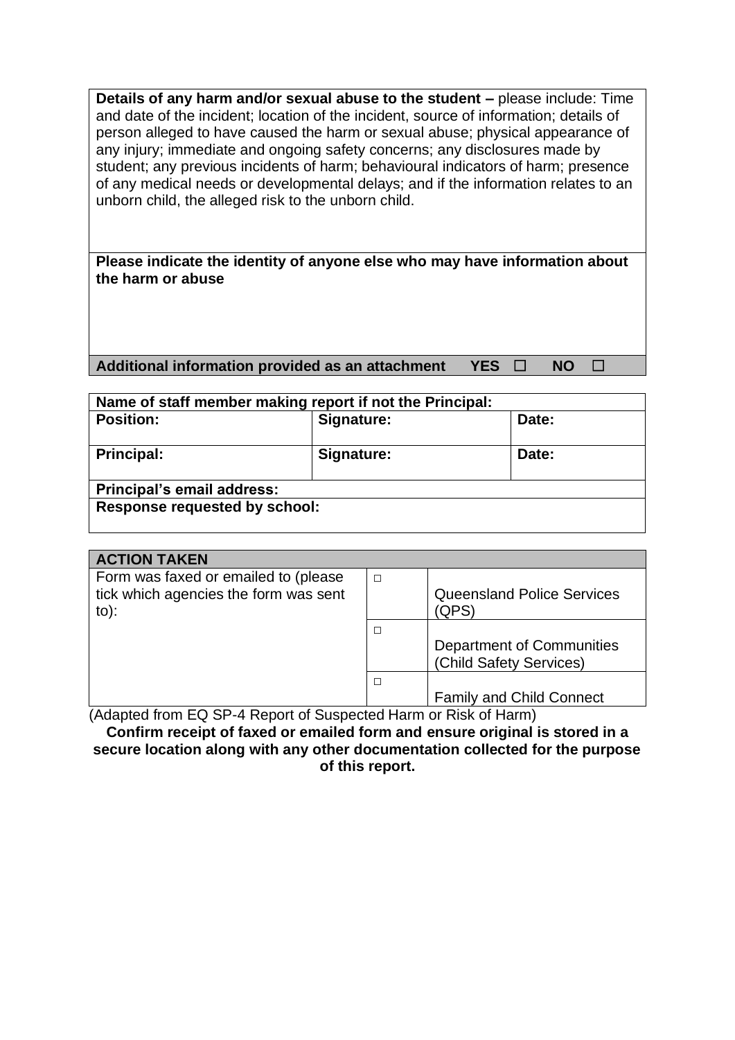**Details of any harm and/or sexual abuse to the student –** please include: Time and date of the incident; location of the incident, source of information; details of person alleged to have caused the harm or sexual abuse; physical appearance of any injury; immediate and ongoing safety concerns; any disclosures made by student; any previous incidents of harm; behavioural indicators of harm; presence of any medical needs or developmental delays; and if the information relates to an unborn child, the alleged risk to the unborn child.

**Please indicate the identity of anyone else who may have information about the harm or abuse**

**Additional information provided as an attachment YES** ☐ **NO** ☐

| Name of staff member making report if not the Principal: |            |       |  |
|----------------------------------------------------------|------------|-------|--|
| <b>Position:</b>                                         | Signature: | Date: |  |
| <b>Principal:</b>                                        | Signature: | Date: |  |
| Principal's email address:                               |            |       |  |
| <b>Response requested by school:</b>                     |            |       |  |

| <b>ACTION TAKEN</b>                                                              |   |                                   |  |
|----------------------------------------------------------------------------------|---|-----------------------------------|--|
| Form was faxed or emailed to (please)<br>tick which agencies the form was sent   | П | <b>Queensland Police Services</b> |  |
| $to)$ :                                                                          |   | (QPS)                             |  |
|                                                                                  | П |                                   |  |
|                                                                                  |   | <b>Department of Communities</b>  |  |
|                                                                                  |   | (Child Safety Services)           |  |
|                                                                                  | П |                                   |  |
|                                                                                  |   | <b>Family and Child Connect</b>   |  |
| $(A$ dented from $\Box$ CD $A$ Denort of Cuspected Using or Diale of Using $(A)$ |   |                                   |  |

(Adapted from EQ SP-4 Report of Suspected Harm or Risk of Harm)

**Confirm receipt of faxed or emailed form and ensure original is stored in a secure location along with any other documentation collected for the purpose of this report.**